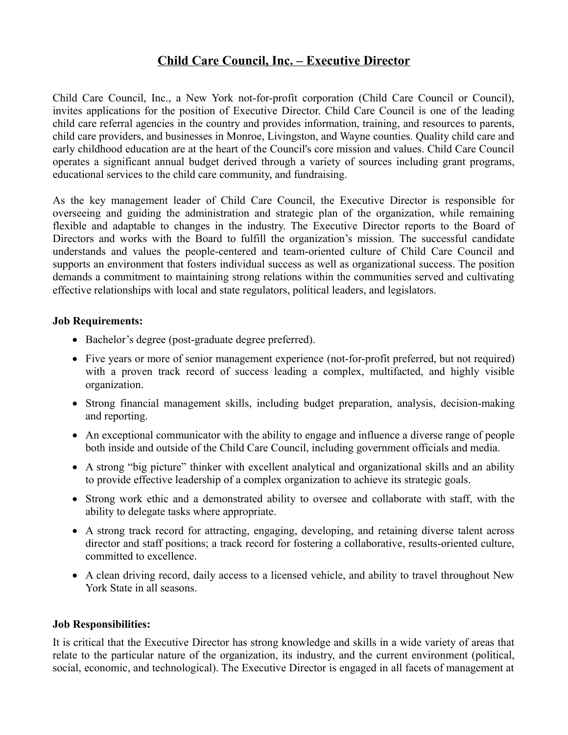# **Child Care Council, Inc. – Executive Director**

Child Care Council, Inc., a New York not-for-profit corporation (Child Care Council or Council), invites applications for the position of Executive Director. Child Care Council is one of the leading child care referral agencies in the country and provides information, training, and resources to parents, child care providers, and businesses in Monroe, Livingston, and Wayne counties. Quality child care and early childhood education are at the heart of the Council's core mission and values. Child Care Council operates a significant annual budget derived through a variety of sources including grant programs, educational services to the child care community, and fundraising.

As the key management leader of Child Care Council, the Executive Director is responsible for overseeing and guiding the administration and strategic plan of the organization, while remaining flexible and adaptable to changes in the industry. The Executive Director reports to the Board of Directors and works with the Board to fulfill the organization's mission. The successful candidate understands and values the people-centered and team-oriented culture of Child Care Council and supports an environment that fosters individual success as well as organizational success. The position demands a commitment to maintaining strong relations within the communities served and cultivating effective relationships with local and state regulators, political leaders, and legislators.

#### **Job Requirements:**

- Bachelor's degree (post-graduate degree preferred).
- Five years or more of senior management experience (not-for-profit preferred, but not required) with a proven track record of success leading a complex, multifacted, and highly visible organization.
- Strong financial management skills, including budget preparation, analysis, decision-making and reporting.
- An exceptional communicator with the ability to engage and influence a diverse range of people both inside and outside of the Child Care Council, including government officials and media.
- A strong "big picture" thinker with excellent analytical and organizational skills and an ability to provide effective leadership of a complex organization to achieve its strategic goals.
- Strong work ethic and a demonstrated ability to oversee and collaborate with staff, with the ability to delegate tasks where appropriate.
- A strong track record for attracting, engaging, developing, and retaining diverse talent across director and staff positions; a track record for fostering a collaborative, results-oriented culture, committed to excellence.
- A clean driving record, daily access to a licensed vehicle, and ability to travel throughout New York State in all seasons.

#### **Job Responsibilities:**

It is critical that the Executive Director has strong knowledge and skills in a wide variety of areas that relate to the particular nature of the organization, its industry, and the current environment (political, social, economic, and technological). The Executive Director is engaged in all facets of management at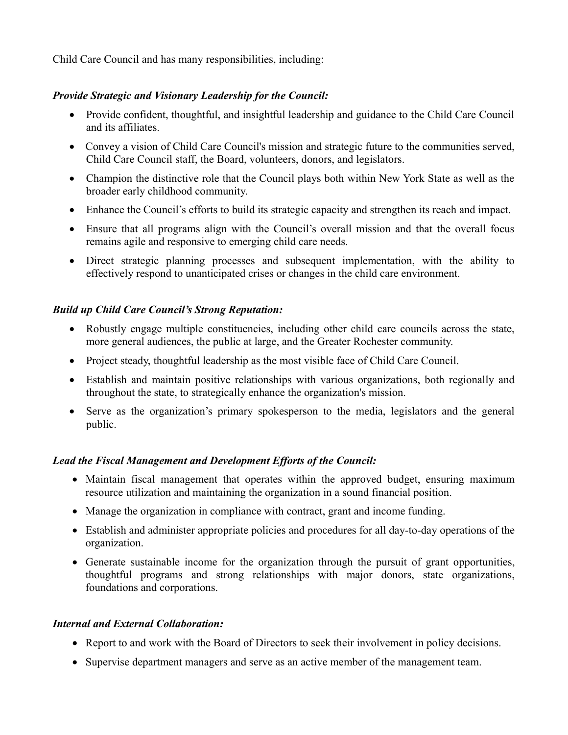Child Care Council and has many responsibilities, including:

### *Provide Strategic and Visionary Leadership for the Council:*

- Provide confident, thoughtful, and insightful leadership and guidance to the Child Care Council and its affiliates.
- Convey a vision of Child Care Council's mission and strategic future to the communities served, Child Care Council staff, the Board, volunteers, donors, and legislators.
- Champion the distinctive role that the Council plays both within New York State as well as the broader early childhood community.
- Enhance the Council's efforts to build its strategic capacity and strengthen its reach and impact.
- Ensure that all programs align with the Council's overall mission and that the overall focus remains agile and responsive to emerging child care needs.
- Direct strategic planning processes and subsequent implementation, with the ability to effectively respond to unanticipated crises or changes in the child care environment.

# *Build up Child Care Council's Strong Reputation:*

- Robustly engage multiple constituencies, including other child care councils across the state, more general audiences, the public at large, and the Greater Rochester community.
- Project steady, thoughtful leadership as the most visible face of Child Care Council.
- Establish and maintain positive relationships with various organizations, both regionally and throughout the state, to strategically enhance the organization's mission.
- Serve as the organization's primary spokesperson to the media, legislators and the general public.

# *Lead the Fiscal Management and Development Efforts of the Council:*

- Maintain fiscal management that operates within the approved budget, ensuring maximum resource utilization and maintaining the organization in a sound financial position.
- Manage the organization in compliance with contract, grant and income funding.
- Establish and administer appropriate policies and procedures for all day-to-day operations of the organization.
- Generate sustainable income for the organization through the pursuit of grant opportunities, thoughtful programs and strong relationships with major donors, state organizations, foundations and corporations.

### *Internal and External Collaboration:*

- Report to and work with the Board of Directors to seek their involvement in policy decisions.
- Supervise department managers and serve as an active member of the management team.